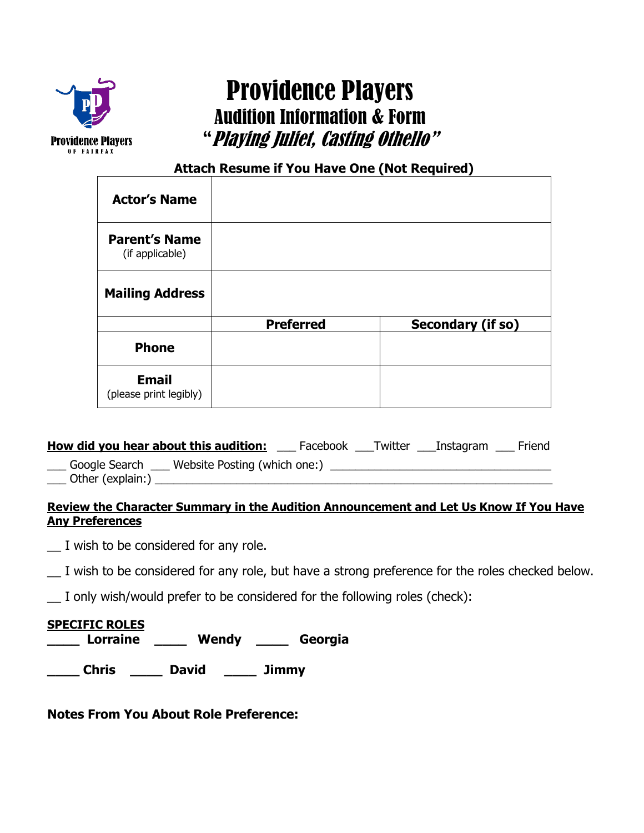

# Providence Players Audition Information & Form "Playing Juliet, Casting Othello"

**Attach Resume if You Have One (Not Required)**

| <b>Actor's Name</b>                     |                  |                   |
|-----------------------------------------|------------------|-------------------|
| <b>Parent's Name</b><br>(if applicable) |                  |                   |
| <b>Mailing Address</b>                  |                  |                   |
|                                         | <b>Preferred</b> | Secondary (if so) |
| <b>Phone</b>                            |                  |                   |
| <b>Email</b><br>(please print legibly)  |                  |                   |

| How did you hear about this audition:         | Facebook | Twitter | Instagram | Friend |
|-----------------------------------------------|----------|---------|-----------|--------|
| Website Posting (which one:)<br>Google Search |          |         |           |        |

\_\_\_ Other (explain:) \_\_\_\_\_\_\_\_\_\_\_\_\_\_\_\_\_\_\_\_\_\_\_\_\_\_\_\_\_\_\_\_\_\_\_\_\_\_\_\_\_\_\_\_\_\_\_\_\_\_\_\_\_\_\_\_\_\_\_\_\_\_\_

## **Review the Character Summary in the Audition Announcement and Let Us Know If You Have Any Preferences**

 $\Box$  I wish to be considered for any role.

 $\_\_$  I wish to be considered for any role, but have a strong preference for the roles checked below.

I only wish/would prefer to be considered for the following roles (check):

# **SPECIFIC ROLES**

**\_\_\_\_ Lorraine \_\_\_\_ Wendy \_\_\_\_ Georgia** 

**\_\_\_\_ Chris \_\_\_\_ David \_\_\_\_ Jimmy** 

**Notes From You About Role Preference:**